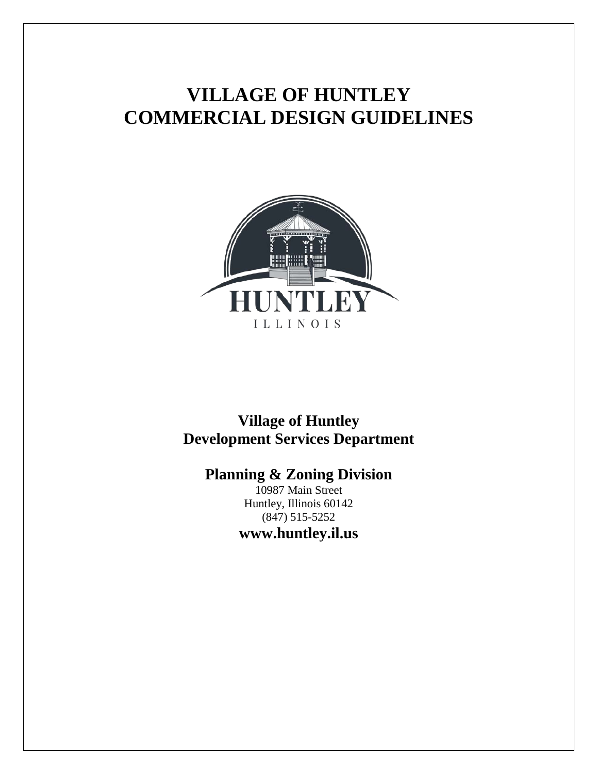# **VILLAGE OF HUNTLEY COMMERCIAL DESIGN GUIDELINES**



# **Village of Huntley Development Services Department**

**Planning & Zoning Division**

10987 Main Street Huntley, Illinois 60142 (847) 515-5252 **www.huntley.il.us**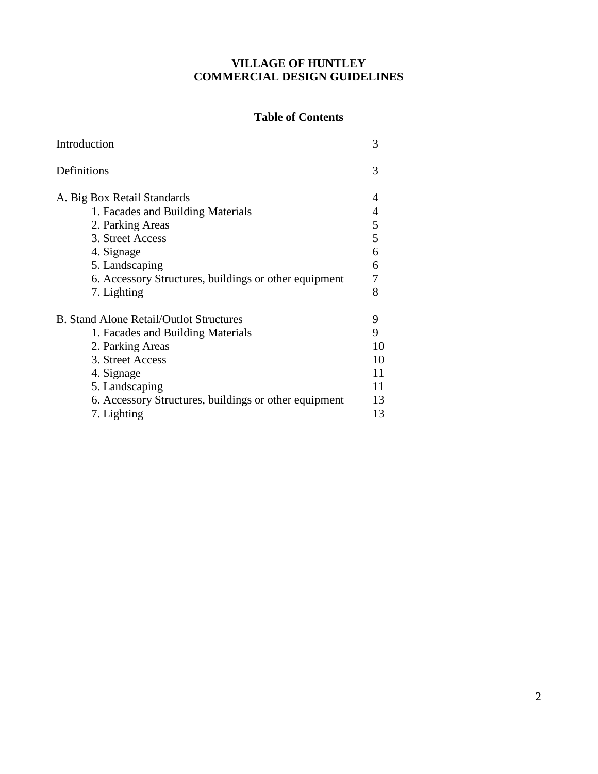#### **VILLAGE OF HUNTLEY COMMERCIAL DESIGN GUIDELINES**

#### **Table of Contents**

| Introduction                                                                                                                                                                                                                        | 3                                          |
|-------------------------------------------------------------------------------------------------------------------------------------------------------------------------------------------------------------------------------------|--------------------------------------------|
| Definitions                                                                                                                                                                                                                         | 3                                          |
| A. Big Box Retail Standards<br>1. Facades and Building Materials<br>2. Parking Areas<br>3. Street Access<br>4. Signage<br>5. Landscaping<br>6. Accessory Structures, buildings or other equipment<br>7. Lighting                    | 4<br>$\frac{5}{5}$<br>6<br>6<br>7<br>8     |
| <b>B.</b> Stand Alone Retail/Outlot Structures<br>1. Facades and Building Materials<br>2. Parking Areas<br>3. Street Access<br>4. Signage<br>5. Landscaping<br>6. Accessory Structures, buildings or other equipment<br>7. Lighting | 9<br>9<br>10<br>10<br>11<br>11<br>13<br>13 |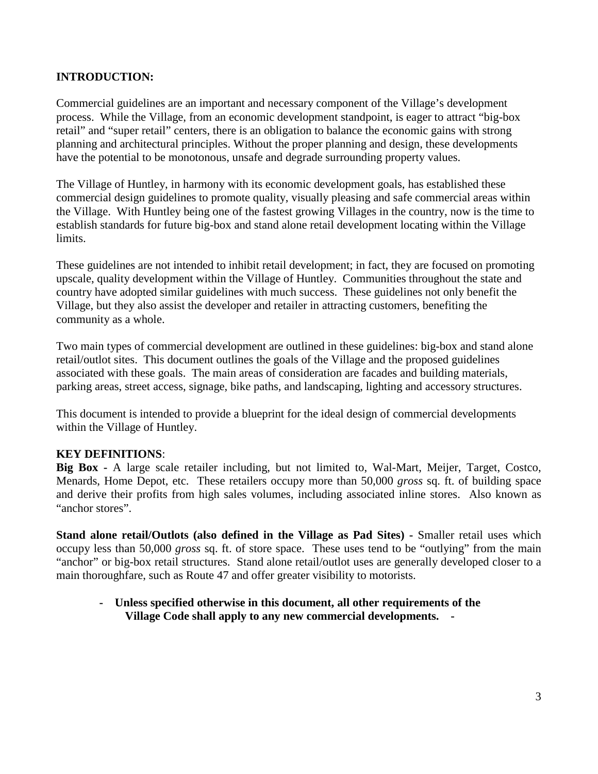#### **INTRODUCTION:**

Commercial guidelines are an important and necessary component of the Village's development process. While the Village, from an economic development standpoint, is eager to attract "big-box retail" and "super retail" centers, there is an obligation to balance the economic gains with strong planning and architectural principles. Without the proper planning and design, these developments have the potential to be monotonous, unsafe and degrade surrounding property values.

The Village of Huntley, in harmony with its economic development goals, has established these commercial design guidelines to promote quality, visually pleasing and safe commercial areas within the Village. With Huntley being one of the fastest growing Villages in the country, now is the time to establish standards for future big-box and stand alone retail development locating within the Village limits.

These guidelines are not intended to inhibit retail development; in fact, they are focused on promoting upscale, quality development within the Village of Huntley. Communities throughout the state and country have adopted similar guidelines with much success. These guidelines not only benefit the Village, but they also assist the developer and retailer in attracting customers, benefiting the community as a whole.

Two main types of commercial development are outlined in these guidelines: big-box and stand alone retail/outlot sites. This document outlines the goals of the Village and the proposed guidelines associated with these goals. The main areas of consideration are facades and building materials, parking areas, street access, signage, bike paths, and landscaping, lighting and accessory structures.

This document is intended to provide a blueprint for the ideal design of commercial developments within the Village of Huntley.

#### **KEY DEFINITIONS**:

**Big Box -** A large scale retailer including, but not limited to, Wal-Mart, Meijer, Target, Costco, Menards, Home Depot, etc. These retailers occupy more than 50,000 *gross* sq. ft. of building space and derive their profits from high sales volumes, including associated inline stores. Also known as "anchor stores".

**Stand alone retail/Outlots (also defined in the Village as Pad Sites) -** Smaller retail uses which occupy less than 50,000 *gross* sq. ft. of store space. These uses tend to be "outlying" from the main "anchor" or big-box retail structures. Stand alone retail/outlot uses are generally developed closer to a main thoroughfare, such as Route 47 and offer greater visibility to motorists.

#### **- Unless specified otherwise in this document, all other requirements of the Village Code shall apply to any new commercial developments. -**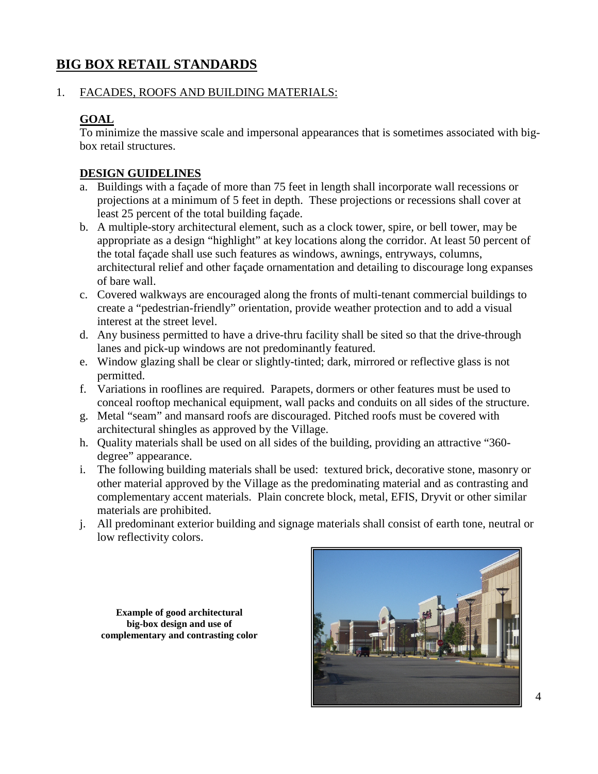# **BIG BOX RETAIL STANDARDS**

#### 1. FACADES, ROOFS AND BUILDING MATERIALS:

#### **GOAL**

To minimize the massive scale and impersonal appearances that is sometimes associated with bigbox retail structures.

#### **DESIGN GUIDELINES**

- a. Buildings with a façade of more than 75 feet in length shall incorporate wall recessions or projections at a minimum of 5 feet in depth. These projections or recessions shall cover at least 25 percent of the total building façade.
- b. A multiple-story architectural element, such as a clock tower, spire, or bell tower, may be appropriate as a design "highlight" at key locations along the corridor. At least 50 percent of the total façade shall use such features as windows, awnings, entryways, columns, architectural relief and other façade ornamentation and detailing to discourage long expanses of bare wall.
- c. Covered walkways are encouraged along the fronts of multi-tenant commercial buildings to create a "pedestrian-friendly" orientation, provide weather protection and to add a visual interest at the street level.
- d. Any business permitted to have a drive-thru facility shall be sited so that the drive-through lanes and pick-up windows are not predominantly featured.
- e. Window glazing shall be clear or slightly-tinted; dark, mirrored or reflective glass is not permitted.
- f. Variations in rooflines are required. Parapets, dormers or other features must be used to conceal rooftop mechanical equipment, wall packs and conduits on all sides of the structure.
- g. Metal "seam" and mansard roofs are discouraged. Pitched roofs must be covered with architectural shingles as approved by the Village.
- h. Quality materials shall be used on all sides of the building, providing an attractive "360 degree" appearance.
- i. The following building materials shall be used: textured brick, decorative stone, masonry or other material approved by the Village as the predominating material and as contrasting and complementary accent materials. Plain concrete block, metal, EFIS, Dryvit or other similar materials are prohibited.
- j. All predominant exterior building and signage materials shall consist of earth tone, neutral or low reflectivity colors.

**Example of good architectural big-box design and use of complementary and contrasting color**

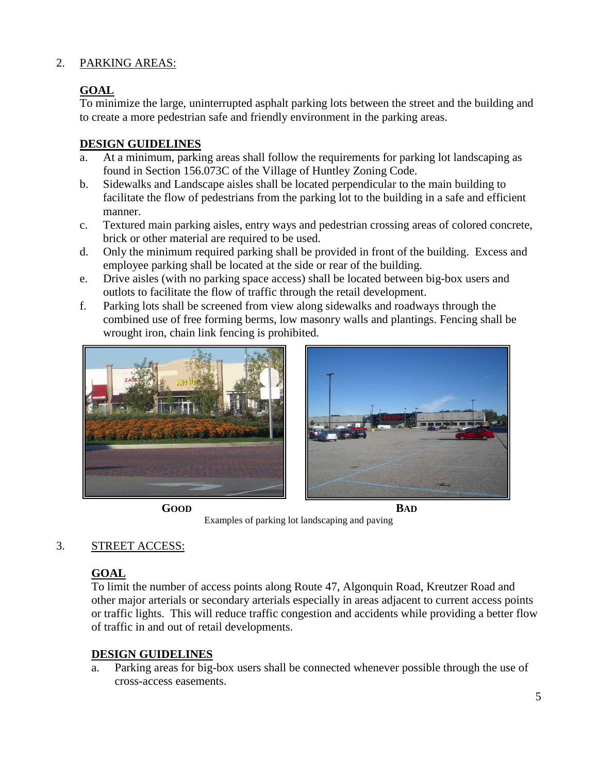#### 2. PARKING AREAS:

# **GOAL**

To minimize the large, uninterrupted asphalt parking lots between the street and the building and to create a more pedestrian safe and friendly environment in the parking areas.

#### **DESIGN GUIDELINES**

- a. At a minimum, parking areas shall follow the requirements for parking lot landscaping as found in Section 156.073C of the Village of Huntley Zoning Code.
- b. Sidewalks and Landscape aisles shall be located perpendicular to the main building to facilitate the flow of pedestrians from the parking lot to the building in a safe and efficient manner.
- c. Textured main parking aisles, entry ways and pedestrian crossing areas of colored concrete, brick or other material are required to be used.
- d. Only the minimum required parking shall be provided in front of the building. Excess and employee parking shall be located at the side or rear of the building.
- e. Drive aisles (with no parking space access) shall be located between big-box users and outlots to facilitate the flow of traffic through the retail development.
- f. Parking lots shall be screened from view along sidewalks and roadways through the combined use of free forming berms, low masonry walls and plantings. Fencing shall be wrought iron, chain link fencing is prohibited.





**GOOD BAD**

Examples of parking lot landscaping and paving

# 3. STREET ACCESS:

# **GOAL**

To limit the number of access points along Route 47, Algonquin Road, Kreutzer Road and other major arterials or secondary arterials especially in areas adjacent to current access points or traffic lights. This will reduce traffic congestion and accidents while providing a better flow of traffic in and out of retail developments.

# **DESIGN GUIDELINES**

a. Parking areas for big-box users shall be connected whenever possible through the use of cross-access easements.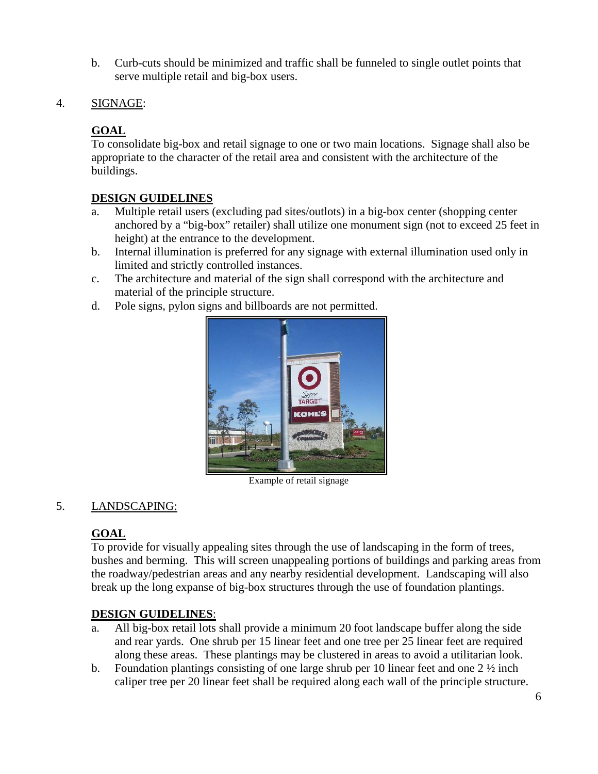- b. Curb-cuts should be minimized and traffic shall be funneled to single outlet points that serve multiple retail and big-box users.
- 4. SIGNAGE:

# **GOAL**

To consolidate big-box and retail signage to one or two main locations. Signage shall also be appropriate to the character of the retail area and consistent with the architecture of the buildings.

#### **DESIGN GUIDELINES**

- a. Multiple retail users (excluding pad sites/outlots) in a big-box center (shopping center anchored by a "big-box" retailer) shall utilize one monument sign (not to exceed 25 feet in height) at the entrance to the development.
- b. Internal illumination is preferred for any signage with external illumination used only in limited and strictly controlled instances.
- c. The architecture and material of the sign shall correspond with the architecture and material of the principle structure.
- d. Pole signs, pylon signs and billboards are not permitted.



Example of retail signage

#### 5. LANDSCAPING:

# **GOAL**

To provide for visually appealing sites through the use of landscaping in the form of trees, bushes and berming. This will screen unappealing portions of buildings and parking areas from the roadway/pedestrian areas and any nearby residential development. Landscaping will also break up the long expanse of big-box structures through the use of foundation plantings.

#### **DESIGN GUIDELINES**:

- a. All big-box retail lots shall provide a minimum 20 foot landscape buffer along the side and rear yards. One shrub per 15 linear feet and one tree per 25 linear feet are required along these areas. These plantings may be clustered in areas to avoid a utilitarian look.
- b. Foundation plantings consisting of one large shrub per 10 linear feet and one  $2\frac{1}{2}$  inch caliper tree per 20 linear feet shall be required along each wall of the principle structure.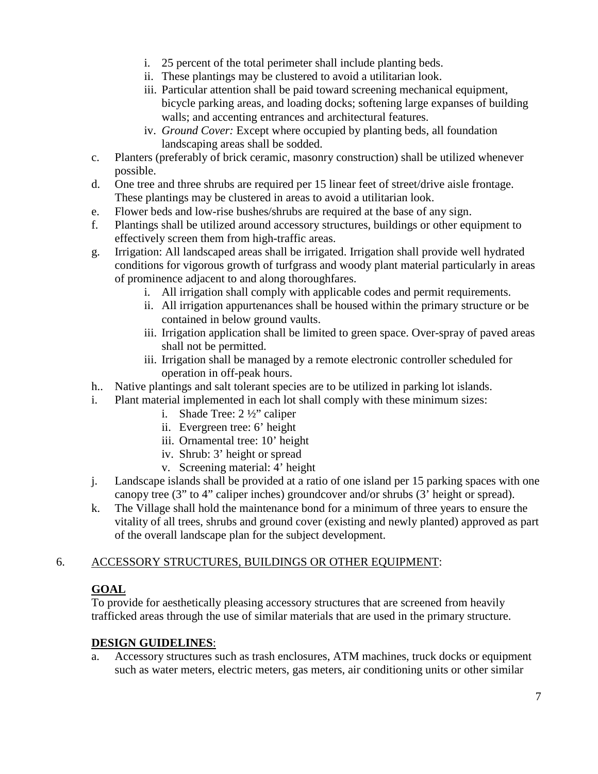- i. 25 percent of the total perimeter shall include planting beds.
- ii. These plantings may be clustered to avoid a utilitarian look.
- iii. Particular attention shall be paid toward screening mechanical equipment, bicycle parking areas, and loading docks; softening large expanses of building walls; and accenting entrances and architectural features.
- iv. *Ground Cover:* Except where occupied by planting beds, all foundation landscaping areas shall be sodded.
- c. Planters (preferably of brick ceramic, masonry construction) shall be utilized whenever possible.
- d. One tree and three shrubs are required per 15 linear feet of street/drive aisle frontage. These plantings may be clustered in areas to avoid a utilitarian look.
- e. Flower beds and low-rise bushes/shrubs are required at the base of any sign.
- f. Plantings shall be utilized around accessory structures, buildings or other equipment to effectively screen them from high-traffic areas.
- g. Irrigation: All landscaped areas shall be irrigated. Irrigation shall provide well hydrated conditions for vigorous growth of turfgrass and woody plant material particularly in areas of prominence adjacent to and along thoroughfares.
	- i. All irrigation shall comply with applicable codes and permit requirements.
	- ii. All irrigation appurtenances shall be housed within the primary structure or be contained in below ground vaults.
	- iii. Irrigation application shall be limited to green space. Over-spray of paved areas shall not be permitted.
	- iii. Irrigation shall be managed by a remote electronic controller scheduled for operation in off-peak hours.
- h.. Native plantings and salt tolerant species are to be utilized in parking lot islands.
- i. Plant material implemented in each lot shall comply with these minimum sizes:
	- i. Shade Tree: 2 ½" caliper
	- ii. Evergreen tree: 6' height
	- iii. Ornamental tree: 10' height
	- iv. Shrub: 3' height or spread
	- v. Screening material: 4' height
- j. Landscape islands shall be provided at a ratio of one island per 15 parking spaces with one canopy tree (3" to 4" caliper inches) groundcover and/or shrubs (3' height or spread).
- k. The Village shall hold the maintenance bond for a minimum of three years to ensure the vitality of all trees, shrubs and ground cover (existing and newly planted) approved as part of the overall landscape plan for the subject development.

# 6. ACCESSORY STRUCTURES, BUILDINGS OR OTHER EQUIPMENT:

# **GOAL**

To provide for aesthetically pleasing accessory structures that are screened from heavily trafficked areas through the use of similar materials that are used in the primary structure.

#### **DESIGN GUIDELINES**:

a. Accessory structures such as trash enclosures, ATM machines, truck docks or equipment such as water meters, electric meters, gas meters, air conditioning units or other similar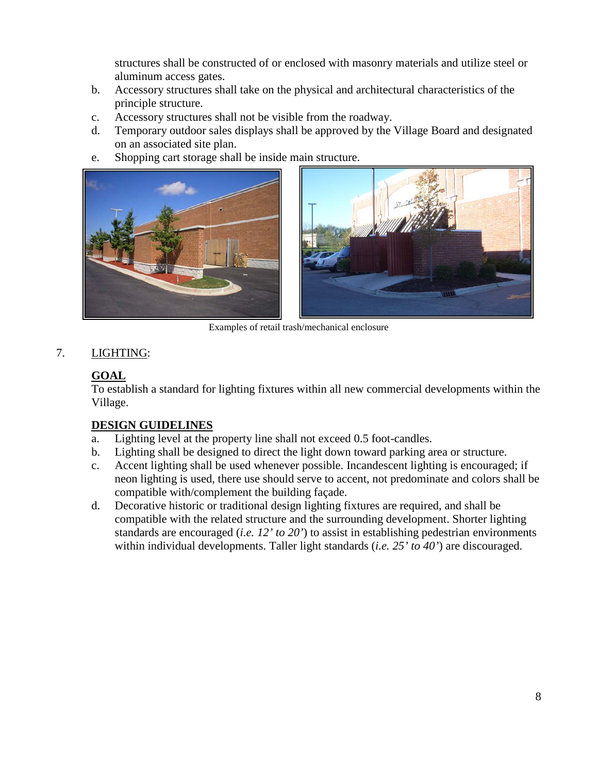structures shall be constructed of or enclosed with masonry materials and utilize steel or aluminum access gates.

- b. Accessory structures shall take on the physical and architectural characteristics of the principle structure.
- c. Accessory structures shall not be visible from the roadway.
- d. Temporary outdoor sales displays shall be approved by the Village Board and designated on an associated site plan.
- e. Shopping cart storage shall be inside main structure.



Examples of retail trash/mechanical enclosure

# 7. LIGHTING:

# **GOAL**

To establish a standard for lighting fixtures within all new commercial developments within the Village.

# **DESIGN GUIDELINES**

- a. Lighting level at the property line shall not exceed 0.5 foot-candles.
- b. Lighting shall be designed to direct the light down toward parking area or structure.
- c. Accent lighting shall be used whenever possible. Incandescent lighting is encouraged; if neon lighting is used, there use should serve to accent, not predominate and colors shall be compatible with/complement the building façade.
- d. Decorative historic or traditional design lighting fixtures are required, and shall be compatible with the related structure and the surrounding development. Shorter lighting standards are encouraged (*i.e. 12' to 20'*) to assist in establishing pedestrian environments within individual developments. Taller light standards (*i.e. 25' to 40'*) are discouraged.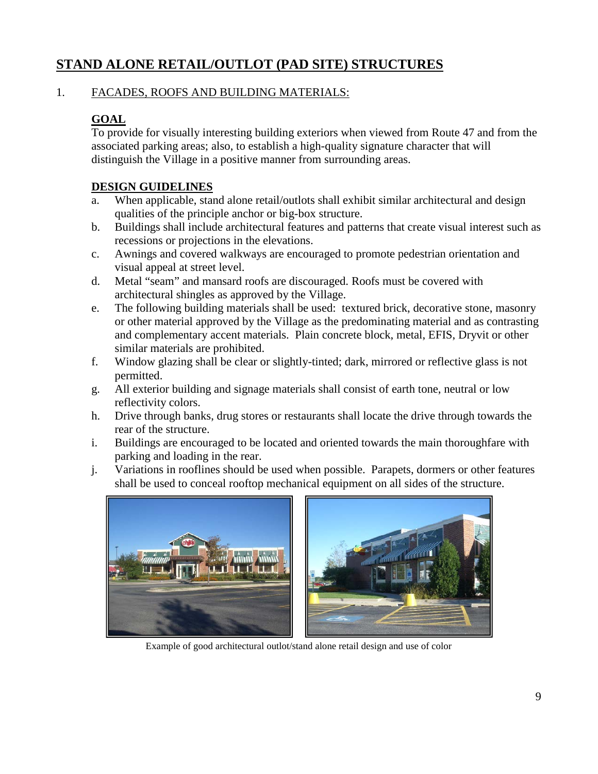# **STAND ALONE RETAIL/OUTLOT (PAD SITE) STRUCTURES**

#### 1. FACADES, ROOFS AND BUILDING MATERIALS:

# **GOAL**

To provide for visually interesting building exteriors when viewed from Route 47 and from the associated parking areas; also, to establish a high-quality signature character that will distinguish the Village in a positive manner from surrounding areas.

# **DESIGN GUIDELINES**

- a. When applicable, stand alone retail/outlots shall exhibit similar architectural and design qualities of the principle anchor or big-box structure.
- b. Buildings shall include architectural features and patterns that create visual interest such as recessions or projections in the elevations.
- c. Awnings and covered walkways are encouraged to promote pedestrian orientation and visual appeal at street level.
- d. Metal "seam" and mansard roofs are discouraged. Roofs must be covered with architectural shingles as approved by the Village.
- e. The following building materials shall be used: textured brick, decorative stone, masonry or other material approved by the Village as the predominating material and as contrasting and complementary accent materials. Plain concrete block, metal, EFIS, Dryvit or other similar materials are prohibited.
- f. Window glazing shall be clear or slightly-tinted; dark, mirrored or reflective glass is not permitted.
- g. All exterior building and signage materials shall consist of earth tone, neutral or low reflectivity colors.
- h. Drive through banks, drug stores or restaurants shall locate the drive through towards the rear of the structure.
- i. Buildings are encouraged to be located and oriented towards the main thoroughfare with parking and loading in the rear.
- j. Variations in rooflines should be used when possible. Parapets, dormers or other features shall be used to conceal rooftop mechanical equipment on all sides of the structure.



Example of good architectural outlot/stand alone retail design and use of color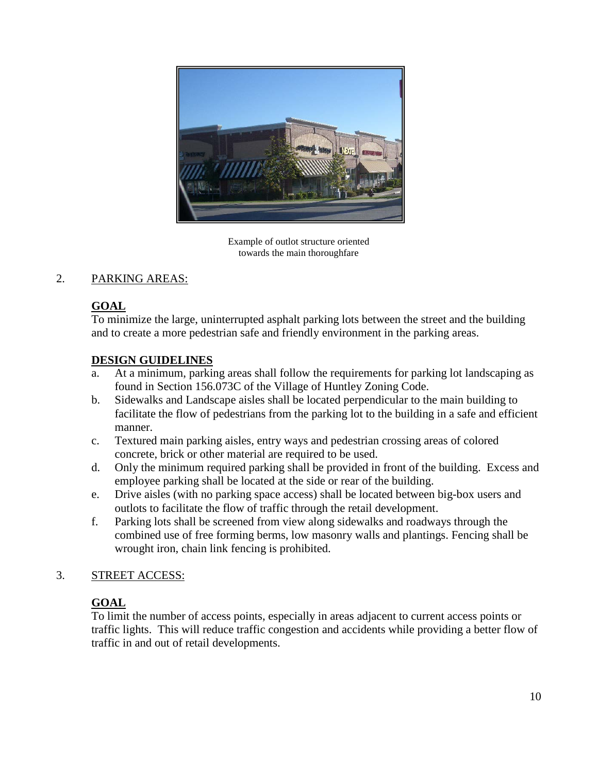

Example of outlot structure oriented towards the main thoroughfare

# 2. PARKING AREAS:

# **GOAL**

To minimize the large, uninterrupted asphalt parking lots between the street and the building and to create a more pedestrian safe and friendly environment in the parking areas.

# **DESIGN GUIDELINES**

- a. At a minimum, parking areas shall follow the requirements for parking lot landscaping as found in Section 156.073C of the Village of Huntley Zoning Code.
- b. Sidewalks and Landscape aisles shall be located perpendicular to the main building to facilitate the flow of pedestrians from the parking lot to the building in a safe and efficient manner.
- c. Textured main parking aisles, entry ways and pedestrian crossing areas of colored concrete, brick or other material are required to be used.
- d. Only the minimum required parking shall be provided in front of the building. Excess and employee parking shall be located at the side or rear of the building.
- e. Drive aisles (with no parking space access) shall be located between big-box users and outlots to facilitate the flow of traffic through the retail development.
- f. Parking lots shall be screened from view along sidewalks and roadways through the combined use of free forming berms, low masonry walls and plantings. Fencing shall be wrought iron, chain link fencing is prohibited.

# 3. STREET ACCESS:

# **GOAL**

To limit the number of access points, especially in areas adjacent to current access points or traffic lights. This will reduce traffic congestion and accidents while providing a better flow of traffic in and out of retail developments.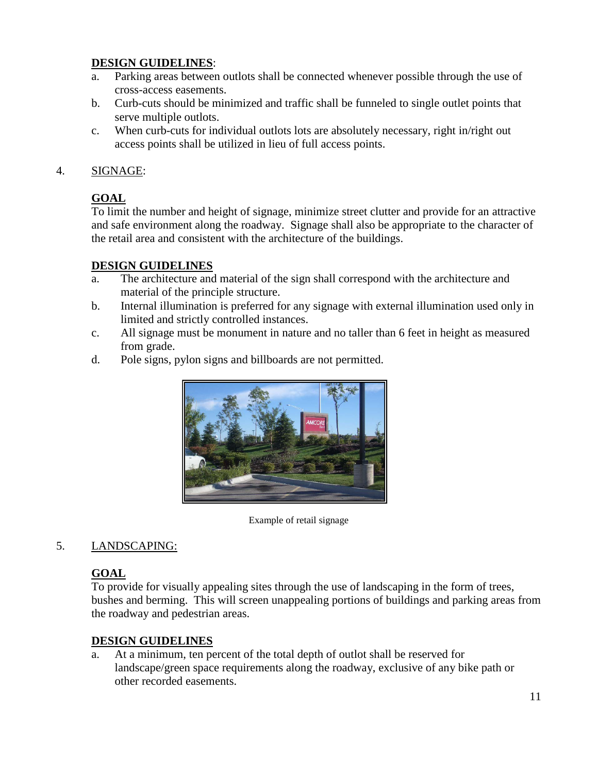#### **DESIGN GUIDELINES**:

- a. Parking areas between outlots shall be connected whenever possible through the use of cross-access easements.
- b. Curb-cuts should be minimized and traffic shall be funneled to single outlet points that serve multiple outlots.
- c. When curb-cuts for individual outlots lots are absolutely necessary, right in/right out access points shall be utilized in lieu of full access points.

#### 4. SIGNAGE:

# **GOAL**

To limit the number and height of signage, minimize street clutter and provide for an attractive and safe environment along the roadway. Signage shall also be appropriate to the character of the retail area and consistent with the architecture of the buildings.

# **DESIGN GUIDELINES**

- a. The architecture and material of the sign shall correspond with the architecture and material of the principle structure.
- b. Internal illumination is preferred for any signage with external illumination used only in limited and strictly controlled instances.
- c. All signage must be monument in nature and no taller than 6 feet in height as measured from grade.
- d. Pole signs, pylon signs and billboards are not permitted.



Example of retail signage

# 5. LANDSCAPING:

# **GOAL**

To provide for visually appealing sites through the use of landscaping in the form of trees, bushes and berming. This will screen unappealing portions of buildings and parking areas from the roadway and pedestrian areas.

# **DESIGN GUIDELINES**

a. At a minimum, ten percent of the total depth of outlot shall be reserved for landscape/green space requirements along the roadway, exclusive of any bike path or other recorded easements.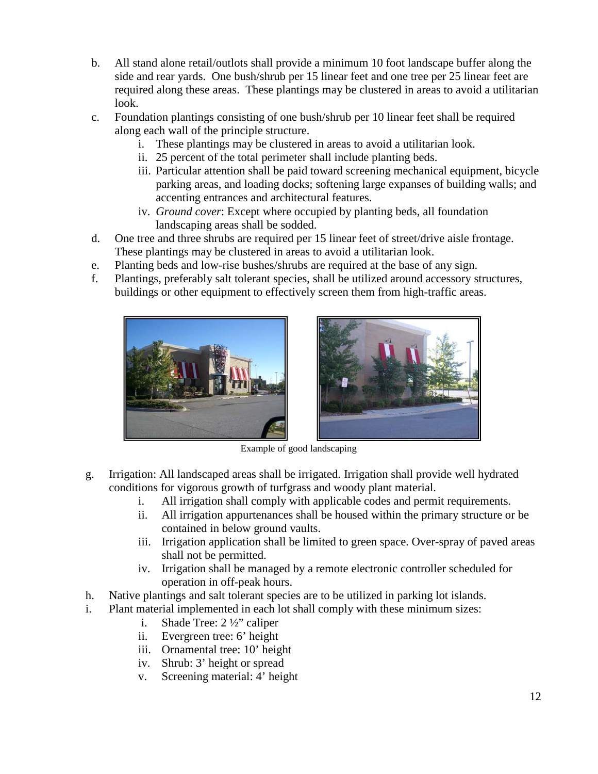- b. All stand alone retail/outlots shall provide a minimum 10 foot landscape buffer along the side and rear yards. One bush/shrub per 15 linear feet and one tree per 25 linear feet are required along these areas. These plantings may be clustered in areas to avoid a utilitarian look.
- c. Foundation plantings consisting of one bush/shrub per 10 linear feet shall be required along each wall of the principle structure.
	- i. These plantings may be clustered in areas to avoid a utilitarian look.
	- ii. 25 percent of the total perimeter shall include planting beds.
	- iii. Particular attention shall be paid toward screening mechanical equipment, bicycle parking areas, and loading docks; softening large expanses of building walls; and accenting entrances and architectural features.
	- iv. *Ground cover*: Except where occupied by planting beds, all foundation landscaping areas shall be sodded.
- d. One tree and three shrubs are required per 15 linear feet of street/drive aisle frontage. These plantings may be clustered in areas to avoid a utilitarian look.
- e. Planting beds and low-rise bushes/shrubs are required at the base of any sign.
- f. Plantings, preferably salt tolerant species, shall be utilized around accessory structures, buildings or other equipment to effectively screen them from high-traffic areas.





Example of good landscaping

- g. Irrigation: All landscaped areas shall be irrigated. Irrigation shall provide well hydrated conditions for vigorous growth of turfgrass and woody plant material.
	- i. All irrigation shall comply with applicable codes and permit requirements.
	- ii. All irrigation appurtenances shall be housed within the primary structure or be contained in below ground vaults.
	- iii. Irrigation application shall be limited to green space. Over-spray of paved areas shall not be permitted.
	- iv. Irrigation shall be managed by a remote electronic controller scheduled for operation in off-peak hours.
- h. Native plantings and salt tolerant species are to be utilized in parking lot islands.
- i. Plant material implemented in each lot shall comply with these minimum sizes:
	- i. Shade Tree: 2 ½" caliper
	- ii. Evergreen tree: 6' height
	- iii. Ornamental tree: 10' height
	- iv. Shrub: 3' height or spread
	- v. Screening material: 4' height